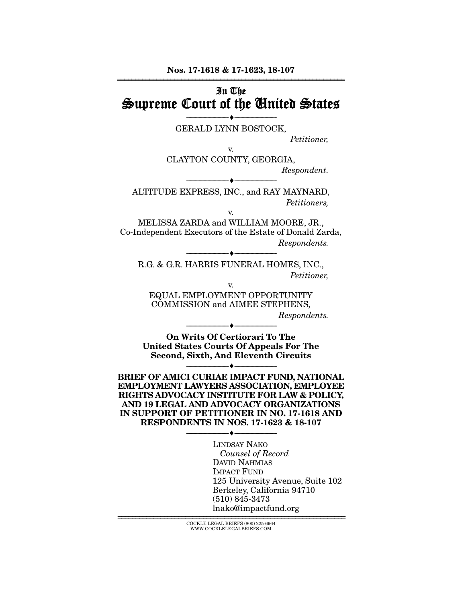## In The Supreme Court of the United States

--------------------------------- --------------------------------- GERALD LYNN BOSTOCK,

v.

*Petitioner,* 

CLAYTON COUNTY, GEORGIA, *Respondent.* 

ALTITUDE EXPRESS, INC., and RAY MAYNARD, *Petitioners,* 

--------------------------------- ---------------------------------

v.

MELISSA ZARDA and WILLIAM MOORE, JR., Co-Independent Executors of the Estate of Donald Zarda, *Respondents.* 

R.G. & G.R. HARRIS FUNERAL HOMES, INC., *Petitioner,* 

 $-$ 

v.

EQUAL EMPLOYMENT OPPORTUNITY COMMISSION and AIMEE STEPHENS,

*Respondents.* 

On Writs Of Certiorari To The United States Courts Of Appeals For The Second, Sixth, And Eleventh Circuits

--------------------------------- ---------------------------------

--------------------------------- ---------------------------------

BRIEF OF AMICI CURIAE IMPACT FUND, NATIONAL EMPLOYMENT LAWYERS ASSOCIATION, EMPLOYEE RIGHTS ADVOCACY INSTITUTE FOR LAW & POLICY, AND 19 LEGAL AND ADVOCACY ORGANIZATIONS IN SUPPORT OF PETITIONER IN NO. 17-1618 AND RESPONDENTS IN NOS. 17-1623 & 18-107

--------------------------------- ---------------------------------

LINDSAY NAKO *Counsel of Record*  DAVID NAHMIAS IMPACT FUND 125 University Avenue, Suite 102 Berkeley, California 94710 (510) 845-3473 lnako@impactfund.org

================================================================ COCKLE LEGAL BRIEFS (800) 225-6964 WWW.COCKLELEGALBRIEFS.COM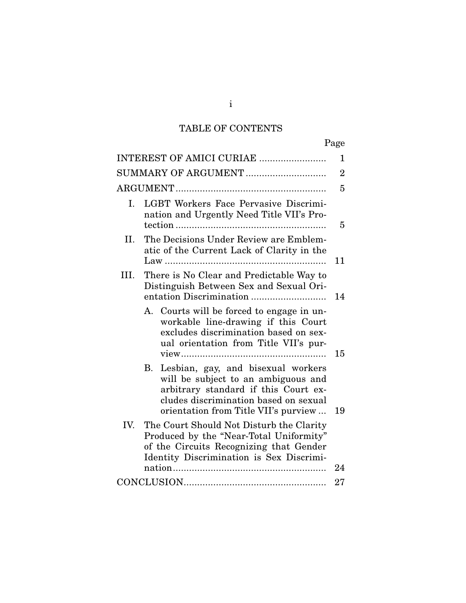# TABLE OF CONTENTS

|      |                                                                                                                                                                                                          | Page           |
|------|----------------------------------------------------------------------------------------------------------------------------------------------------------------------------------------------------------|----------------|
|      | INTEREST OF AMICI CURIAE                                                                                                                                                                                 | 1              |
|      | SUMMARY OF ARGUMENT                                                                                                                                                                                      | $\overline{2}$ |
|      |                                                                                                                                                                                                          | 5              |
| I.   | LGBT Workers Face Pervasive Discrimi-<br>nation and Urgently Need Title VII's Pro-                                                                                                                       | 5              |
| II.  | The Decisions Under Review are Emblem-<br>atic of the Current Lack of Clarity in the                                                                                                                     | 11             |
| III. | There is No Clear and Predictable Way to<br>Distinguish Between Sex and Sexual Ori-                                                                                                                      | 14             |
|      | A. Courts will be forced to engage in un-<br>workable line-drawing if this Court<br>excludes discrimination based on sex-<br>ual orientation from Title VII's pur-                                       | 15             |
|      | Lesbian, gay, and bisexual workers<br>В.<br>will be subject to an ambiguous and<br>arbitrary standard if this Court ex-<br>cludes discrimination based on sexual<br>orientation from Title VII's purview | 19             |
| IV.  | The Court Should Not Disturb the Clarity<br>Produced by the "Near-Total Uniformity"<br>of the Circuits Recognizing that Gender<br>Identity Discrimination is Sex Discrimi-                               | 24             |
|      |                                                                                                                                                                                                          | 27             |

i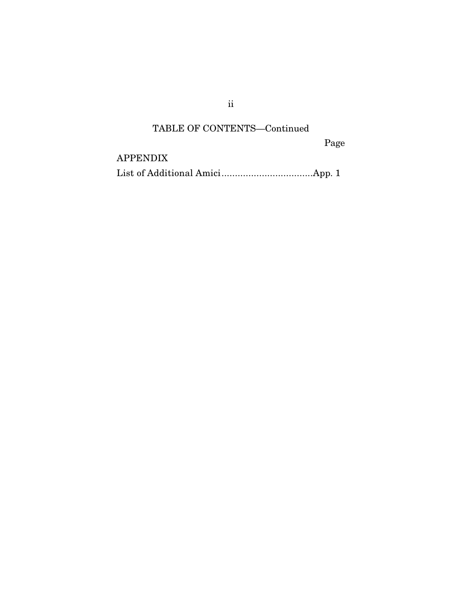ii

## TABLE OF CONTENTS—Continued

Page

APPENDIX

List of Additional Amici .................................. App. 1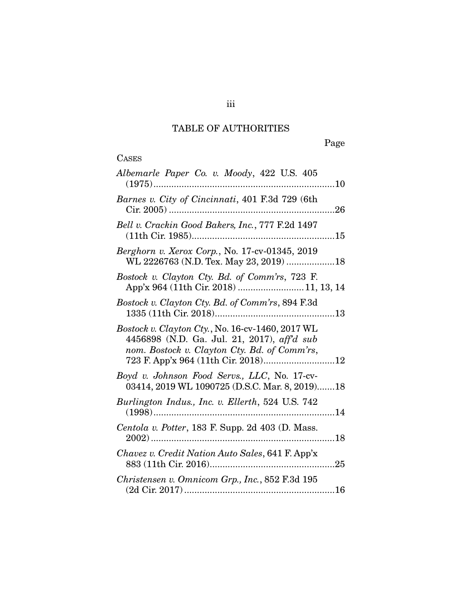# TABLE OF AUTHORITIES

Page

| Albemarle Paper Co. v. Moody, 422 U.S. 405<br>$(1975)$<br>10                                                                                                                           |
|----------------------------------------------------------------------------------------------------------------------------------------------------------------------------------------|
| Barnes v. City of Cincinnati, 401 F.3d 729 (6th                                                                                                                                        |
| Bell v. Crackin Good Bakers, Inc., 777 F.2d 1497                                                                                                                                       |
| Berghorn v. Xerox Corp., No. 17-cv-01345, 2019<br>WL 2226763 (N.D. Tex. May 23, 2019) 18                                                                                               |
| Bostock v. Clayton Cty. Bd. of Comm'rs, 723 F.<br>App'x 964 (11th Cir. 2018)  11, 13, 14                                                                                               |
| Bostock v. Clayton Cty. Bd. of Comm'rs, 894 F.3d                                                                                                                                       |
| Bostock v. Clayton Cty., No. 16-cv-1460, 2017 WL<br>4456898 (N.D. Ga. Jul. 21, 2017), aff'd sub<br>nom. Bostock v. Clayton Cty. Bd. of Comm'rs,<br>723 F. App'x 964 (11th Cir. 2018)12 |
| Boyd v. Johnson Food Servs., LLC, No. 17-cv-<br>03414, 2019 WL 1090725 (D.S.C. Mar. 8, 2019)18                                                                                         |
| Burlington Indus., Inc. v. Ellerth, 524 U.S. 742                                                                                                                                       |
| Centola v. Potter, 183 F. Supp. 2d 403 (D. Mass.                                                                                                                                       |
| Chavez v. Credit Nation Auto Sales, 641 F. App'x                                                                                                                                       |
| Christensen v. Omnicom Grp., Inc., 852 F.3d 195                                                                                                                                        |

iii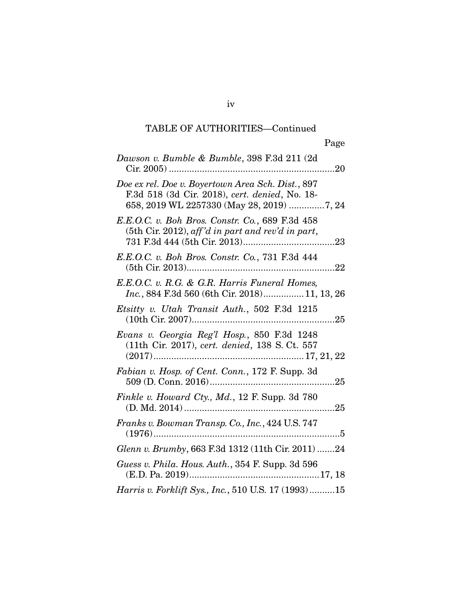| Dawson v. Bumble & Bumble, 398 F.3d 211 (2d)                                                                                                     |
|--------------------------------------------------------------------------------------------------------------------------------------------------|
| Doe ex rel. Doe v. Boyertown Area Sch. Dist., 897<br>F.3d 518 (3d Cir. 2018), cert. denied, No. 18-<br>658, 2019 WL 2257330 (May 28, 2019) 7, 24 |
| E.E.O.C. v. Boh Bros. Constr. Co., 689 F.3d 458<br>(5th Cir. 2012), aff'd in part and rev'd in part,                                             |
| E.E.O.C. v. Boh Bros. Constr. Co., 731 F.3d 444                                                                                                  |
| E.E.O.C. v. R.G. & G.R. Harris Funeral Homes,<br>Inc., 884 F.3d 560 (6th Cir. 2018) 11, 13, 26                                                   |
| <i>Etsitty v. Utah Transit Auth.</i> , 502 F.3d 1215                                                                                             |
| Evans v. Georgia Reg'l Hosp., 850 F.3d 1248<br>(11th Cir. 2017), cert. denied, 138 S. Ct. 557                                                    |
| Fabian v. Hosp. of Cent. Conn., 172 F. Supp. 3d                                                                                                  |
| Finkle v. Howard Cty., Md., 12 F. Supp. 3d 780                                                                                                   |
| Franks v. Bowman Transp. Co., Inc., 424 U.S. 747                                                                                                 |
| Glenn v. Brumby, 663 F.3d 1312 (11th Cir. 2011) 24                                                                                               |
| Guess v. Phila. Hous. Auth., 354 F. Supp. 3d 596                                                                                                 |
| Harris v. Forklift Sys., Inc., 510 U.S. 17 (1993) 15                                                                                             |

iv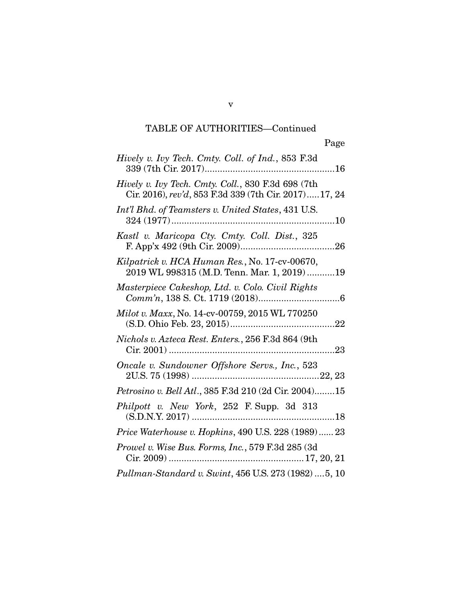v

| Hively v. Ivy Tech. Cmty. Coll. of Ind., 853 F.3d                                                           |
|-------------------------------------------------------------------------------------------------------------|
| Hively v. Ivy Tech. Cmty. Coll., 830 F.3d 698 (7th<br>Cir. 2016), rev'd, 853 F.3d 339 (7th Cir. 2017)17, 24 |
| Int'l Bhd. of Teamsters v. United States, 431 U.S.                                                          |
| Kastl v. Maricopa Cty. Cmty. Coll. Dist., 325                                                               |
| Kilpatrick v. HCA Human Res., No. 17-cv-00670,<br>2019 WL 998315 (M.D. Tenn. Mar. 1, 2019) 19               |
| Masterpiece Cakeshop, Ltd. v. Colo. Civil Rights                                                            |
| Milot v. Maxx, No. 14-cv-00759, 2015 WL 770250                                                              |
| Nichols v. Azteca Rest. Enters., 256 F.3d 864 (9th                                                          |
| Oncale v. Sundowner Offshore Servs., Inc., 523                                                              |
| Petrosino v. Bell Atl., 385 F.3d 210 (2d Cir. 2004)15                                                       |
| Philpott v. New York, 252 F. Supp. 3d 313                                                                   |
| Price Waterhouse v. Hopkins, 490 U.S. 228 (1989) 23                                                         |
| Prowel v. Wise Bus. Forms, Inc., 579 F.3d 285 (3d                                                           |
| Pullman-Standard v. Swint, 456 U.S. 273 (1982)  5, 10                                                       |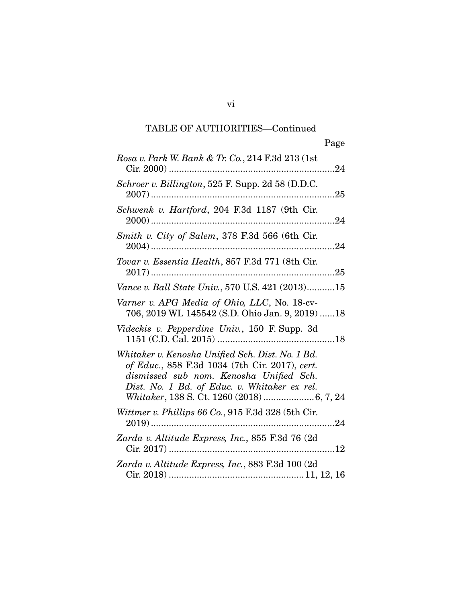| Rosa v. Park W. Bank & Tr. Co., 214 F.3d 213 (1st)                                                                                                                                            |
|-----------------------------------------------------------------------------------------------------------------------------------------------------------------------------------------------|
| Schroer v. Billington, 525 F. Supp. 2d 58 (D.D.C.                                                                                                                                             |
| Schwenk v. Hartford, 204 F.3d 1187 (9th Cir.                                                                                                                                                  |
| Smith v. City of Salem, 378 F.3d 566 (6th Cir.                                                                                                                                                |
| Tovar v. Essentia Health, 857 F.3d 771 (8th Cir.                                                                                                                                              |
| Vance v. Ball State Univ., 570 U.S. 421 (2013)15                                                                                                                                              |
| Varner v. APG Media of Ohio, LLC, No. 18-cv-<br>706, 2019 WL 145542 (S.D. Ohio Jan. 9, 2019) 18                                                                                               |
| Videckis v. Pepperdine Univ., 150 F. Supp. 3d                                                                                                                                                 |
| Whitaker v. Kenosha Unified Sch. Dist. No. 1 Bd.<br>of Educ., 858 F.3d 1034 (7th Cir. 2017), cert.<br>dismissed sub nom. Kenosha Unified Sch.<br>Dist. No. 1 Bd. of Educ. v. Whitaker ex rel. |
| Wittmer v. Phillips 66 Co., 915 F.3d 328 (5th Cir.                                                                                                                                            |
| Zarda v. Altitude Express, Inc., 855 F.3d 76 (2d                                                                                                                                              |
| Zarda v. Altitude Express, Inc., 883 F.3d 100 (2d                                                                                                                                             |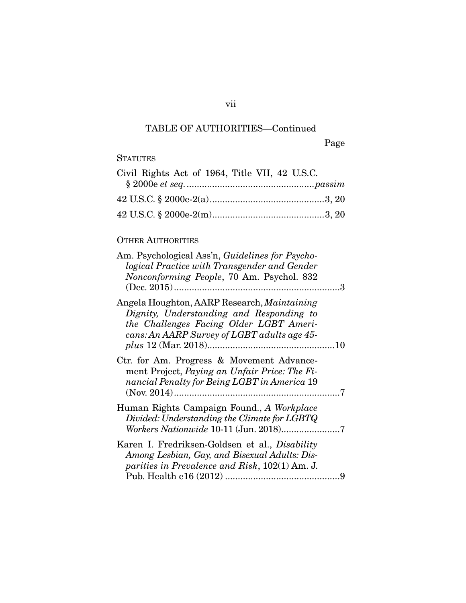vii

Page

### **STATUTES**

| Civil Rights Act of 1964, Title VII, 42 U.S.C. |  |
|------------------------------------------------|--|
|                                                |  |
|                                                |  |
|                                                |  |

### OTHER AUTHORITIES

| Am. Psychological Ass'n, Guidelines for Psycho-<br>logical Practice with Transgender and Gender<br>Nonconforming People, 70 Am. Psychol. 832                                             |  |
|------------------------------------------------------------------------------------------------------------------------------------------------------------------------------------------|--|
| Angela Houghton, AARP Research, <i>Maintaining</i><br>Dignity, Understanding and Responding to<br>the Challenges Facing Older LGBT Ameri-<br>cans: An AARP Survey of LGBT adults age 45- |  |
| Ctr. for Am. Progress & Movement Advance-<br>ment Project, Paying an Unfair Price: The Fi-<br>nancial Penalty for Being LGBT in America 19                                               |  |
| Human Rights Campaign Found., A Workplace<br>Divided: Understanding the Climate for LGBTQ                                                                                                |  |
| Karen I. Fredriksen-Goldsen et al., Disability<br>Among Lesbian, Gay, and Bisexual Adults: Dis-<br>parities in Prevalence and Risk, 102(1) Am. J.                                        |  |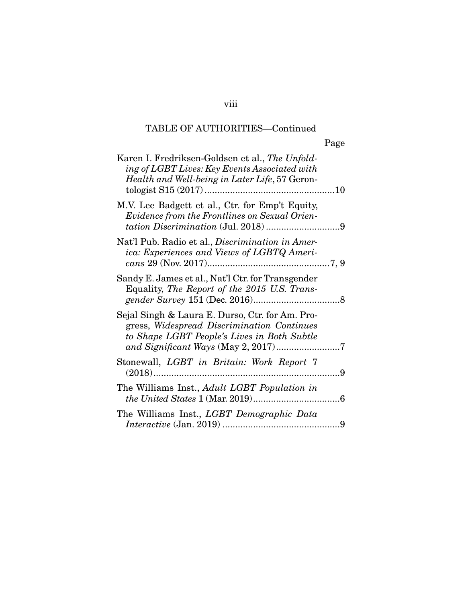|                                                                                                                                                           | Page |
|-----------------------------------------------------------------------------------------------------------------------------------------------------------|------|
| Karen I. Fredriksen-Goldsen et al., <i>The Unfold-</i><br>ing of LGBT Lives: Key Events Associated with<br>Health and Well-being in Later Life, 57 Geron- |      |
| M.V. Lee Badgett et al., Ctr. for Emp't Equity,<br>Evidence from the Frontlines on Sexual Orien-                                                          |      |
| Nat'l Pub. Radio et al., Discrimination in Amer-<br>ica: Experiences and Views of LGBTQ Ameri-                                                            |      |
| Sandy E. James et al., Nat'l Ctr. for Transgender<br>Equality, The Report of the 2015 U.S. Trans-                                                         |      |
| Sejal Singh & Laura E. Durso, Ctr. for Am. Pro-<br>gress, Widespread Discrimination Continues<br>to Shape LGBT People's Lives in Both Subtle              |      |
| Stonewall, LGBT in Britain: Work Report 7                                                                                                                 |      |
| The Williams Inst., Adult LGBT Population in                                                                                                              |      |
| The Williams Inst., LGBT Demographic Data                                                                                                                 |      |

viii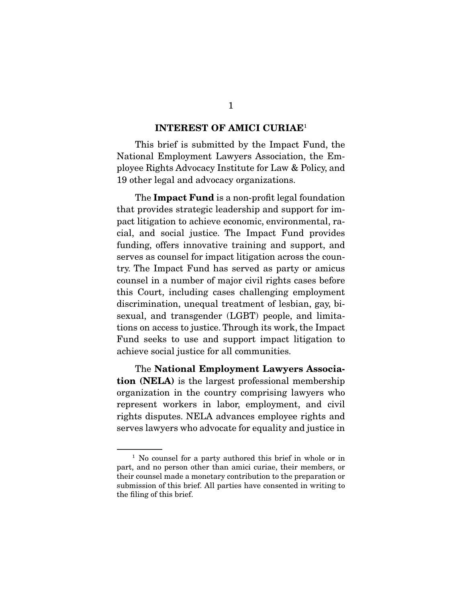#### INTEREST OF AMICI CURIAE<sup>1</sup>

 This brief is submitted by the Impact Fund, the National Employment Lawyers Association, the Employee Rights Advocacy Institute for Law & Policy, and 19 other legal and advocacy organizations.

The **Impact Fund** is a non-profit legal foundation that provides strategic leadership and support for impact litigation to achieve economic, environmental, racial, and social justice. The Impact Fund provides funding, offers innovative training and support, and serves as counsel for impact litigation across the country. The Impact Fund has served as party or amicus counsel in a number of major civil rights cases before this Court, including cases challenging employment discrimination, unequal treatment of lesbian, gay, bisexual, and transgender (LGBT) people, and limitations on access to justice. Through its work, the Impact Fund seeks to use and support impact litigation to achieve social justice for all communities.

 The National Employment Lawyers Association (NELA) is the largest professional membership organization in the country comprising lawyers who represent workers in labor, employment, and civil rights disputes. NELA advances employee rights and serves lawyers who advocate for equality and justice in

<sup>&</sup>lt;sup>1</sup> No counsel for a party authored this brief in whole or in part, and no person other than amici curiae, their members, or their counsel made a monetary contribution to the preparation or submission of this brief. All parties have consented in writing to the filing of this brief.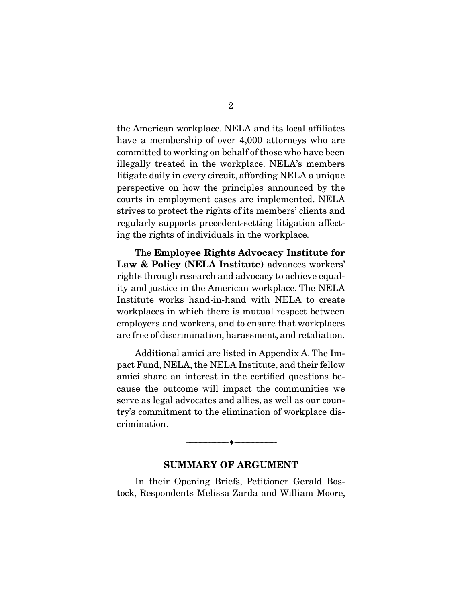the American workplace. NELA and its local affiliates have a membership of over 4,000 attorneys who are committed to working on behalf of those who have been illegally treated in the workplace. NELA's members litigate daily in every circuit, affording NELA a unique perspective on how the principles announced by the courts in employment cases are implemented. NELA strives to protect the rights of its members' clients and regularly supports precedent-setting litigation affecting the rights of individuals in the workplace.

 The Employee Rights Advocacy Institute for Law & Policy (NELA Institute) advances workers' rights through research and advocacy to achieve equality and justice in the American workplace. The NELA Institute works hand-in-hand with NELA to create workplaces in which there is mutual respect between employers and workers, and to ensure that workplaces are free of discrimination, harassment, and retaliation.

 Additional amici are listed in Appendix A. The Impact Fund, NELA, the NELA Institute, and their fellow amici share an interest in the certified questions because the outcome will impact the communities we serve as legal advocates and allies, as well as our country's commitment to the elimination of workplace discrimination.

#### SUMMARY OF ARGUMENT

--------------------------------- ---------------------------------

 In their Opening Briefs, Petitioner Gerald Bostock, Respondents Melissa Zarda and William Moore,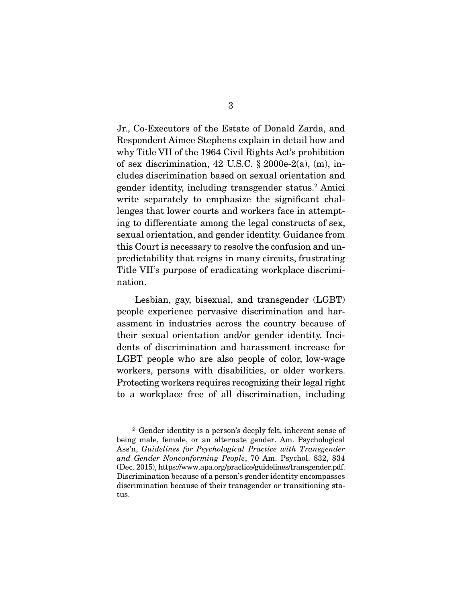Jr., Co-Executors of the Estate of Donald Zarda, and Respondent Aimee Stephens explain in detail how and why Title VII of the 1964 Civil Rights Act's prohibition of sex discrimination, 42 U.S.C.  $\S 2000e-2(a)$ , (m), includes discrimination based on sexual orientation and gender identity, including transgender status.<sup>2</sup> Amici write separately to emphasize the significant challenges that lower courts and workers face in attempting to differentiate among the legal constructs of sex, sexual orientation, and gender identity. Guidance from this Court is necessary to resolve the confusion and unpredictability that reigns in many circuits, frustrating Title VII's purpose of eradicating workplace discrimination.

 Lesbian, gay, bisexual, and transgender (LGBT) people experience pervasive discrimination and harassment in industries across the country because of their sexual orientation and/or gender identity. Incidents of discrimination and harassment increase for LGBT people who are also people of color, low-wage workers, persons with disabilities, or older workers. Protecting workers requires recognizing their legal right to a workplace free of all discrimination, including

<sup>2</sup> Gender identity is a person's deeply felt, inherent sense of being male, female, or an alternate gender. Am. Psychological Ass'n, *Guidelines for Psychological Practice with Transgender and Gender Nonconforming People*, 70 Am. Psychol. 832, 834 (Dec. 2015), https://www.apa.org/practice/guidelines/transgender.pdf. Discrimination because of a person's gender identity encompasses discrimination because of their transgender or transitioning status.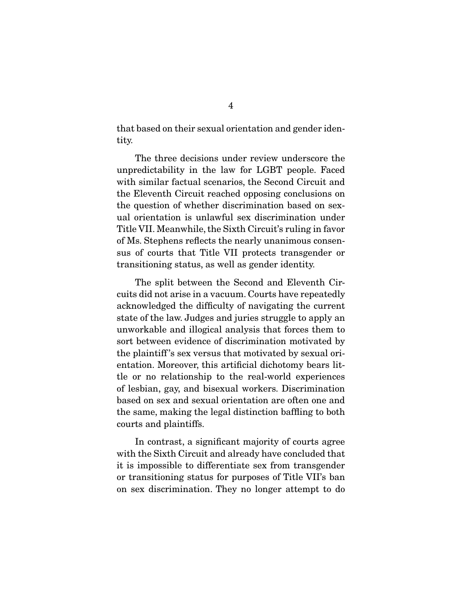that based on their sexual orientation and gender identity.

 The three decisions under review underscore the unpredictability in the law for LGBT people. Faced with similar factual scenarios, the Second Circuit and the Eleventh Circuit reached opposing conclusions on the question of whether discrimination based on sexual orientation is unlawful sex discrimination under Title VII. Meanwhile, the Sixth Circuit's ruling in favor of Ms. Stephens reflects the nearly unanimous consensus of courts that Title VII protects transgender or transitioning status, as well as gender identity.

 The split between the Second and Eleventh Circuits did not arise in a vacuum. Courts have repeatedly acknowledged the difficulty of navigating the current state of the law. Judges and juries struggle to apply an unworkable and illogical analysis that forces them to sort between evidence of discrimination motivated by the plaintiff 's sex versus that motivated by sexual orientation. Moreover, this artificial dichotomy bears little or no relationship to the real-world experiences of lesbian, gay, and bisexual workers. Discrimination based on sex and sexual orientation are often one and the same, making the legal distinction baffling to both courts and plaintiffs.

 In contrast, a significant majority of courts agree with the Sixth Circuit and already have concluded that it is impossible to differentiate sex from transgender or transitioning status for purposes of Title VII's ban on sex discrimination. They no longer attempt to do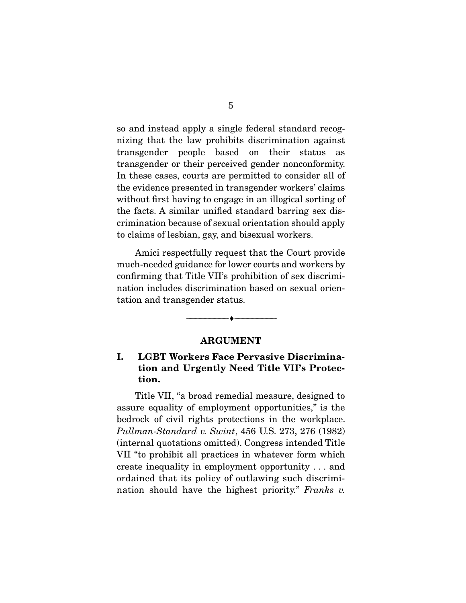so and instead apply a single federal standard recognizing that the law prohibits discrimination against transgender people based on their status as transgender or their perceived gender nonconformity. In these cases, courts are permitted to consider all of the evidence presented in transgender workers' claims without first having to engage in an illogical sorting of the facts. A similar unified standard barring sex discrimination because of sexual orientation should apply to claims of lesbian, gay, and bisexual workers.

 Amici respectfully request that the Court provide much-needed guidance for lower courts and workers by confirming that Title VII's prohibition of sex discrimination includes discrimination based on sexual orientation and transgender status.

#### ARGUMENT

--------------------------------- ---------------------------------

### I. LGBT Workers Face Pervasive Discrimination and Urgently Need Title VII's Protection.

 Title VII, "a broad remedial measure, designed to assure equality of employment opportunities," is the bedrock of civil rights protections in the workplace. *Pullman-Standard v. Swint*, 456 U.S. 273, 276 (1982) (internal quotations omitted). Congress intended Title VII "to prohibit all practices in whatever form which create inequality in employment opportunity . . . and ordained that its policy of outlawing such discrimination should have the highest priority." *Franks v.*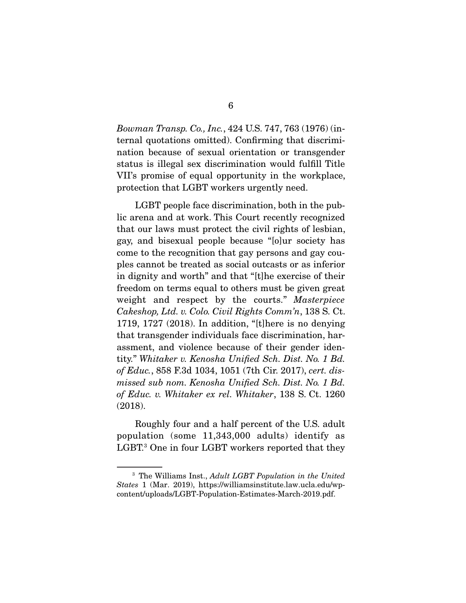*Bowman Transp. Co., Inc.*, 424 U.S. 747, 763 (1976) (internal quotations omitted). Confirming that discrimination because of sexual orientation or transgender status is illegal sex discrimination would fulfill Title VII's promise of equal opportunity in the workplace, protection that LGBT workers urgently need.

 LGBT people face discrimination, both in the public arena and at work. This Court recently recognized that our laws must protect the civil rights of lesbian, gay, and bisexual people because "[o]ur society has come to the recognition that gay persons and gay couples cannot be treated as social outcasts or as inferior in dignity and worth" and that "[t]he exercise of their freedom on terms equal to others must be given great weight and respect by the courts." *Masterpiece Cakeshop, Ltd. v. Colo. Civil Rights Comm'n*, 138 S. Ct. 1719, 1727 (2018). In addition, "[t]here is no denying that transgender individuals face discrimination, harassment, and violence because of their gender identity." *Whitaker v. Kenosha Unified Sch. Dist. No. 1 Bd. of Educ.*, 858 F.3d 1034, 1051 (7th Cir. 2017), *cert. dismissed sub nom. Kenosha Unified Sch. Dist. No. 1 Bd. of Educ. v. Whitaker ex rel. Whitaker*, 138 S. Ct. 1260 (2018).

 Roughly four and a half percent of the U.S. adult population (some 11,343,000 adults) identify as LGBT.3 One in four LGBT workers reported that they

<sup>3</sup> The Williams Inst., *Adult LGBT Population in the United States* 1 (Mar. 2019), https://williamsinstitute.law.ucla.edu/wpcontent/uploads/LGBT-Population-Estimates-March-2019.pdf.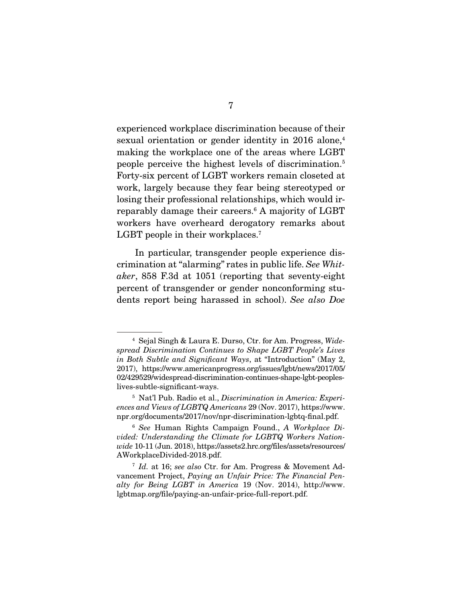experienced workplace discrimination because of their sexual orientation or gender identity in 2016 alone,<sup>4</sup> making the workplace one of the areas where LGBT people perceive the highest levels of discrimination.5 Forty-six percent of LGBT workers remain closeted at work, largely because they fear being stereotyped or losing their professional relationships, which would irreparably damage their careers.6 A majority of LGBT workers have overheard derogatory remarks about LGBT people in their workplaces.<sup>7</sup>

 In particular, transgender people experience discrimination at "alarming" rates in public life. *See Whitaker*, 858 F.3d at 1051 (reporting that seventy-eight percent of transgender or gender nonconforming students report being harassed in school). *See also Doe* 

<sup>4</sup> Sejal Singh & Laura E. Durso, Ctr. for Am. Progress, *Widespread Discrimination Continues to Shape LGBT People's Lives in Both Subtle and Significant Ways*, at "Introduction" (May 2, 2017), https://www.americanprogress.org/issues/lgbt/news/2017/05/ 02/429529/widespread-discrimination-continues-shape-lgbt-peopleslives-subtle-significant-ways.

<sup>5</sup> Nat'l Pub. Radio et al., *Discrimination in America: Experiences and Views of LGBTQ Americans* 29 (Nov. 2017), https://www. npr.org/documents/2017/nov/npr-discrimination-lgbtq-final.pdf.

<sup>6</sup> *See* Human Rights Campaign Found., *A Workplace Divided: Understanding the Climate for LGBTQ Workers Nationwide* 10-11 (Jun. 2018), https://assets2.hrc.org/files/assets/resources/ AWorkplaceDivided-2018.pdf.

<sup>7</sup> *Id.* at 16; *see also* Ctr. for Am. Progress & Movement Advancement Project, *Paying an Unfair Price: The Financial Penalty for Being LGBT in America* 19 (Nov. 2014), http://www. lgbtmap.org/file/paying-an-unfair-price-full-report.pdf.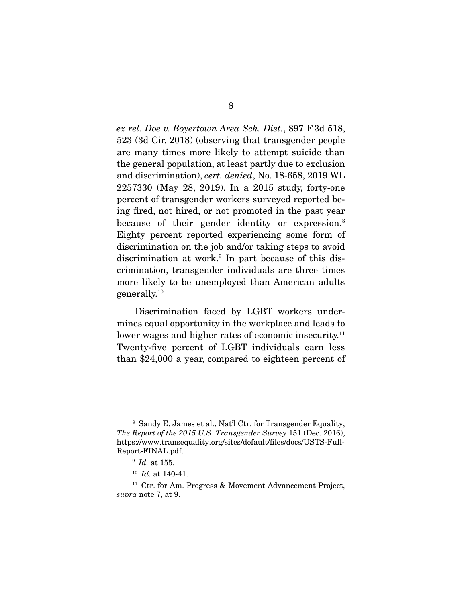*ex rel. Doe v. Boyertown Area Sch. Dist.*, 897 F.3d 518, 523 (3d Cir. 2018) (observing that transgender people are many times more likely to attempt suicide than the general population, at least partly due to exclusion and discrimination), *cert. denied*, No. 18-658, 2019 WL 2257330 (May 28, 2019). In a 2015 study, forty-one percent of transgender workers surveyed reported being fired, not hired, or not promoted in the past year because of their gender identity or expression.<sup>8</sup> Eighty percent reported experiencing some form of discrimination on the job and/or taking steps to avoid discrimination at work.<sup>9</sup> In part because of this discrimination, transgender individuals are three times more likely to be unemployed than American adults generally.10

 Discrimination faced by LGBT workers undermines equal opportunity in the workplace and leads to lower wages and higher rates of economic insecurity.<sup>11</sup> Twenty-five percent of LGBT individuals earn less than \$24,000 a year, compared to eighteen percent of

<sup>8</sup> Sandy E. James et al., Nat'l Ctr. for Transgender Equality, *The Report of the 2015 U.S. Transgender Survey* 151 (Dec. 2016), https://www.transequality.org/sites/default/files/docs/USTS-Full-Report-FINAL.pdf.

<sup>9</sup> *Id.* at 155.

<sup>10</sup> *Id.* at 140-41.

<sup>&</sup>lt;sup>11</sup> Ctr. for Am. Progress & Movement Advancement Project, *supra* note 7, at 9.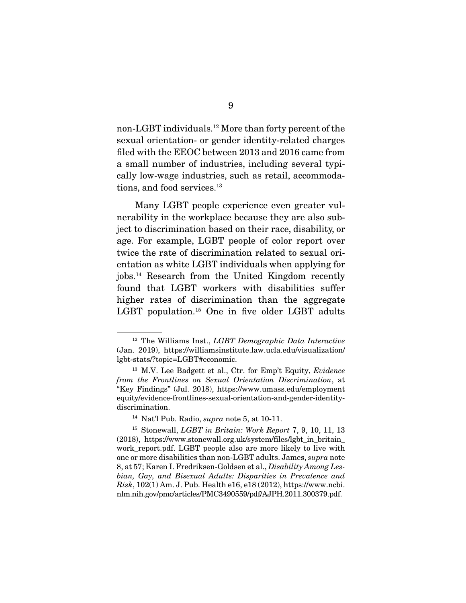non-LGBT individuals.12 More than forty percent of the sexual orientation- or gender identity-related charges filed with the EEOC between 2013 and 2016 came from a small number of industries, including several typically low-wage industries, such as retail, accommodations, and food services.<sup>13</sup>

 Many LGBT people experience even greater vulnerability in the workplace because they are also subject to discrimination based on their race, disability, or age. For example, LGBT people of color report over twice the rate of discrimination related to sexual orientation as white LGBT individuals when applying for jobs.14 Research from the United Kingdom recently found that LGBT workers with disabilities suffer higher rates of discrimination than the aggregate LGBT population.15 One in five older LGBT adults

<sup>12</sup> The Williams Inst., *LGBT Demographic Data Interactive* (Jan. 2019), https://williamsinstitute.law.ucla.edu/visualization/ lgbt-stats/?topic=LGBT#economic.

<sup>13</sup> M.V. Lee Badgett et al., Ctr. for Emp't Equity, *Evidence from the Frontlines on Sexual Orientation Discrimination*, at "Key Findings" (Jul. 2018), https://www.umass.edu/employment equity/evidence-frontlines-sexual-orientation-and-gender-identitydiscrimination.

<sup>14</sup> Nat'l Pub. Radio, *supra* note 5, at 10-11.

<sup>15</sup> Stonewall, *LGBT in Britain: Work Report* 7, 9, 10, 11, 13 (2018), https://www.stonewall.org.uk/system/files/lgbt\_in\_britain\_ work\_report.pdf. LGBT people also are more likely to live with one or more disabilities than non-LGBT adults. James, *supra* note 8, at 57; Karen I. Fredriksen-Goldsen et al., *Disability Among Lesbian, Gay, and Bisexual Adults: Disparities in Prevalence and Risk*, 102(1) Am. J. Pub. Health e16, e18 (2012), https://www.ncbi. nlm.nih.gov/pmc/articles/PMC3490559/pdf/AJPH.2011.300379.pdf.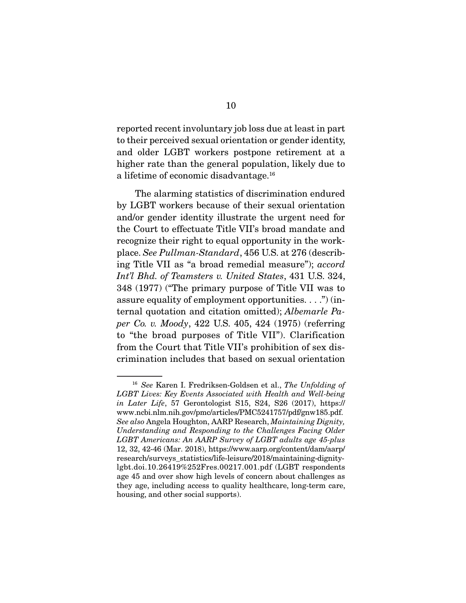reported recent involuntary job loss due at least in part to their perceived sexual orientation or gender identity, and older LGBT workers postpone retirement at a higher rate than the general population, likely due to a lifetime of economic disadvantage.16

 The alarming statistics of discrimination endured by LGBT workers because of their sexual orientation and/or gender identity illustrate the urgent need for the Court to effectuate Title VII's broad mandate and recognize their right to equal opportunity in the workplace. *See Pullman-Standard*, 456 U.S. at 276 (describing Title VII as "a broad remedial measure"); *accord Int'l Bhd. of Teamsters v. United States*, 431 U.S. 324, 348 (1977) ("The primary purpose of Title VII was to assure equality of employment opportunities. . . .") (internal quotation and citation omitted); *Albemarle Paper Co. v. Moody*, 422 U.S. 405, 424 (1975) (referring to "the broad purposes of Title VII"). Clarification from the Court that Title VII's prohibition of sex discrimination includes that based on sexual orientation

<sup>16</sup> *See* Karen I. Fredriksen-Goldsen et al., *The Unfolding of LGBT Lives: Key Events Associated with Health and Well-being in Later Life*, 57 Gerontologist S15, S24, S26 (2017), https:// www.ncbi.nlm.nih.gov/pmc/articles/PMC5241757/pdf/gnw185.pdf. *See also* Angela Houghton, AARP Research, *Maintaining Dignity, Understanding and Responding to the Challenges Facing Older LGBT Americans: An AARP Survey of LGBT adults age 45-plus* 12, 32, 42-46 (Mar. 2018), https://www.aarp.org/content/dam/aarp/ research/surveys\_statistics/life-leisure/2018/maintaining-dignitylgbt.doi.10.26419%252Fres.00217.001.pdf (LGBT respondents age 45 and over show high levels of concern about challenges as they age, including access to quality healthcare, long-term care, housing, and other social supports).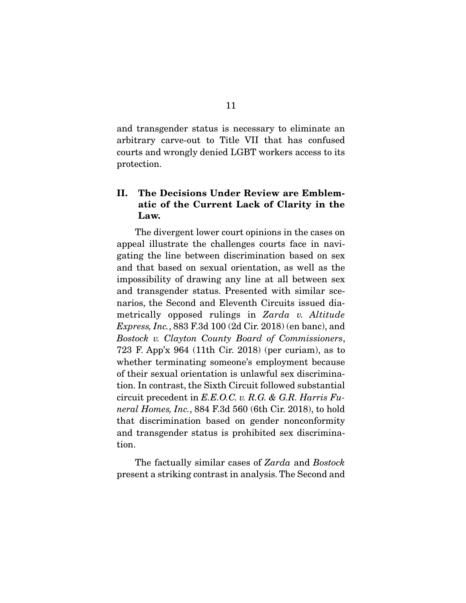and transgender status is necessary to eliminate an arbitrary carve-out to Title VII that has confused courts and wrongly denied LGBT workers access to its protection.

### II. The Decisions Under Review are Emblematic of the Current Lack of Clarity in the Law.

 The divergent lower court opinions in the cases on appeal illustrate the challenges courts face in navigating the line between discrimination based on sex and that based on sexual orientation, as well as the impossibility of drawing any line at all between sex and transgender status. Presented with similar scenarios, the Second and Eleventh Circuits issued diametrically opposed rulings in *Zarda v. Altitude Express, Inc.*, 883 F.3d 100 (2d Cir. 2018) (en banc), and *Bostock v. Clayton County Board of Commissioners*, 723 F. App'x 964 (11th Cir. 2018) (per curiam), as to whether terminating someone's employment because of their sexual orientation is unlawful sex discrimination. In contrast, the Sixth Circuit followed substantial circuit precedent in *E.E.O.C. v. R.G. & G.R. Harris Funeral Homes, Inc.*, 884 F.3d 560 (6th Cir. 2018), to hold that discrimination based on gender nonconformity and transgender status is prohibited sex discrimination.

 The factually similar cases of *Zarda* and *Bostock* present a striking contrast in analysis. The Second and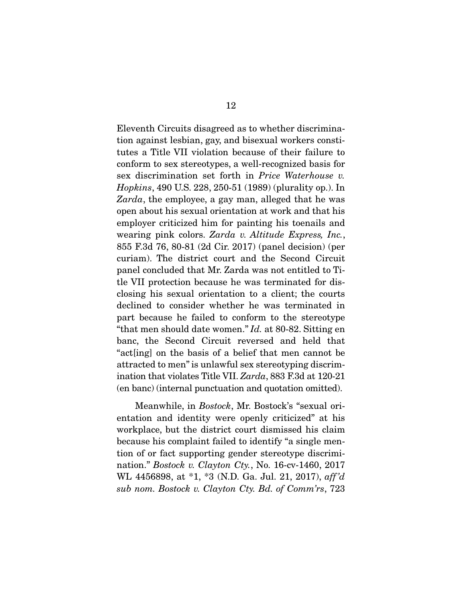Eleventh Circuits disagreed as to whether discrimination against lesbian, gay, and bisexual workers constitutes a Title VII violation because of their failure to conform to sex stereotypes, a well-recognized basis for sex discrimination set forth in *Price Waterhouse v. Hopkins*, 490 U.S. 228, 250-51 (1989) (plurality op.). In *Zarda*, the employee, a gay man, alleged that he was open about his sexual orientation at work and that his employer criticized him for painting his toenails and wearing pink colors. *Zarda v. Altitude Express, Inc.*, 855 F.3d 76, 80-81 (2d Cir. 2017) (panel decision) (per curiam). The district court and the Second Circuit panel concluded that Mr. Zarda was not entitled to Title VII protection because he was terminated for disclosing his sexual orientation to a client; the courts declined to consider whether he was terminated in part because he failed to conform to the stereotype "that men should date women." *Id.* at 80-82. Sitting en banc, the Second Circuit reversed and held that "act[ing] on the basis of a belief that men cannot be attracted to men" is unlawful sex stereotyping discrimination that violates Title VII. *Zarda*, 883 F.3d at 120-21 (en banc) (internal punctuation and quotation omitted).

 Meanwhile, in *Bostock*, Mr. Bostock's "sexual orientation and identity were openly criticized" at his workplace, but the district court dismissed his claim because his complaint failed to identify "a single mention of or fact supporting gender stereotype discrimination." *Bostock v. Clayton Cty.*, No. 16-cv-1460, 2017 WL 4456898, at \*1, \*3 (N.D. Ga. Jul. 21, 2017), *aff 'd sub nom. Bostock v. Clayton Cty. Bd. of Comm'rs*, 723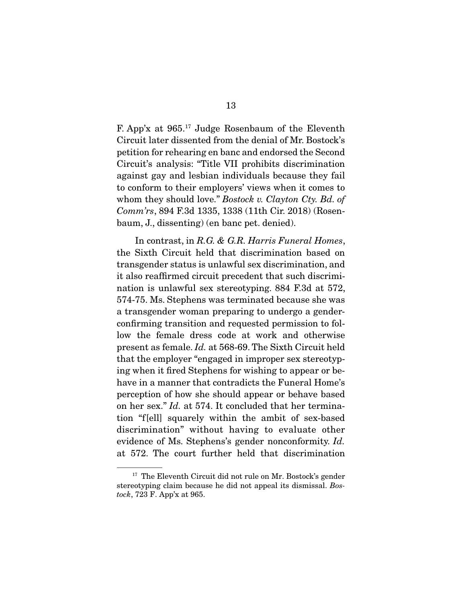F. App'x at 965.17 Judge Rosenbaum of the Eleventh Circuit later dissented from the denial of Mr. Bostock's petition for rehearing en banc and endorsed the Second Circuit's analysis: "Title VII prohibits discrimination against gay and lesbian individuals because they fail to conform to their employers' views when it comes to whom they should love." *Bostock v. Clayton Cty. Bd. of Comm'rs*, 894 F.3d 1335, 1338 (11th Cir. 2018) (Rosenbaum, J., dissenting) (en banc pet. denied).

 In contrast, in *R.G. & G.R. Harris Funeral Homes*, the Sixth Circuit held that discrimination based on transgender status is unlawful sex discrimination, and it also reaffirmed circuit precedent that such discrimination is unlawful sex stereotyping. 884 F.3d at 572, 574-75. Ms. Stephens was terminated because she was a transgender woman preparing to undergo a genderconfirming transition and requested permission to follow the female dress code at work and otherwise present as female. *Id.* at 568-69. The Sixth Circuit held that the employer "engaged in improper sex stereotyping when it fired Stephens for wishing to appear or behave in a manner that contradicts the Funeral Home's perception of how she should appear or behave based on her sex." *Id.* at 574. It concluded that her termination "f[ell] squarely within the ambit of sex-based discrimination" without having to evaluate other evidence of Ms. Stephens's gender nonconformity. *Id.* at 572. The court further held that discrimination

<sup>&</sup>lt;sup>17</sup> The Eleventh Circuit did not rule on Mr. Bostock's gender stereotyping claim because he did not appeal its dismissal. *Bostock*, 723 F. App'x at 965.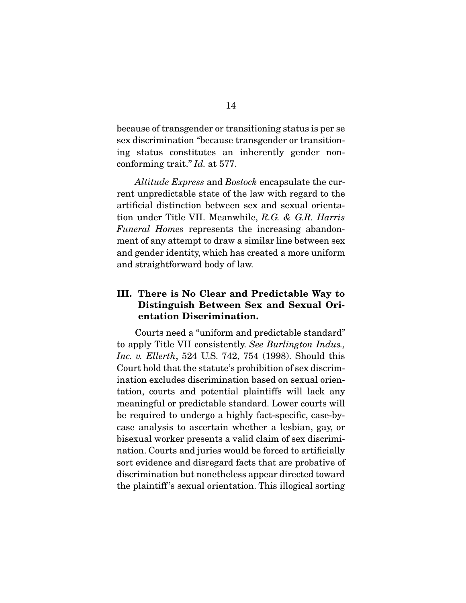because of transgender or transitioning status is per se sex discrimination "because transgender or transitioning status constitutes an inherently gender nonconforming trait." *Id.* at 577.

*Altitude Express* and *Bostock* encapsulate the current unpredictable state of the law with regard to the artificial distinction between sex and sexual orientation under Title VII. Meanwhile, *R.G. & G.R. Harris Funeral Homes* represents the increasing abandonment of any attempt to draw a similar line between sex and gender identity, which has created a more uniform and straightforward body of law.

### III. There is No Clear and Predictable Way to Distinguish Between Sex and Sexual Orientation Discrimination.

 Courts need a "uniform and predictable standard" to apply Title VII consistently. *See Burlington Indus., Inc. v. Ellerth*, 524 U.S. 742, 754 (1998). Should this Court hold that the statute's prohibition of sex discrimination excludes discrimination based on sexual orientation, courts and potential plaintiffs will lack any meaningful or predictable standard. Lower courts will be required to undergo a highly fact-specific, case-bycase analysis to ascertain whether a lesbian, gay, or bisexual worker presents a valid claim of sex discrimination. Courts and juries would be forced to artificially sort evidence and disregard facts that are probative of discrimination but nonetheless appear directed toward the plaintiff 's sexual orientation. This illogical sorting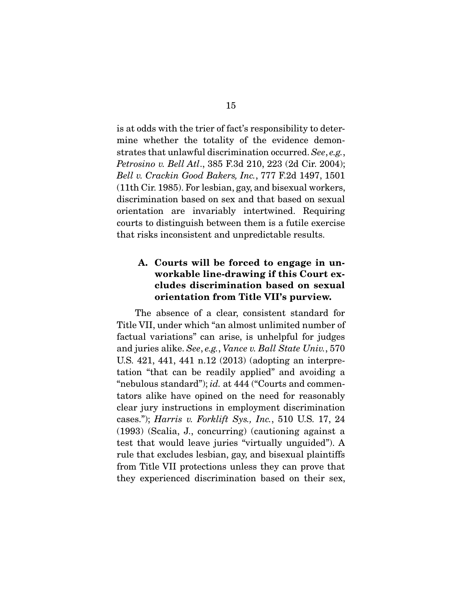is at odds with the trier of fact's responsibility to determine whether the totality of the evidence demonstrates that unlawful discrimination occurred. *See*, *e.g.*, *Petrosino v. Bell Atl*., 385 F.3d 210, 223 (2d Cir. 2004); *Bell v. Crackin Good Bakers, Inc.*, 777 F.2d 1497, 1501 (11th Cir. 1985). For lesbian, gay, and bisexual workers, discrimination based on sex and that based on sexual orientation are invariably intertwined. Requiring courts to distinguish between them is a futile exercise that risks inconsistent and unpredictable results.

### A. Courts will be forced to engage in unworkable line-drawing if this Court excludes discrimination based on sexual orientation from Title VII's purview.

 The absence of a clear, consistent standard for Title VII, under which "an almost unlimited number of factual variations" can arise, is unhelpful for judges and juries alike. *See*, *e.g.*, *Vance v. Ball State Univ.*, 570 U.S. 421, 441, 441 n.12 (2013) (adopting an interpretation "that can be readily applied" and avoiding a "nebulous standard"); *id.* at 444 ("Courts and commentators alike have opined on the need for reasonably clear jury instructions in employment discrimination cases."); *Harris v. Forklift Sys., Inc.*, 510 U.S. 17, 24 (1993) (Scalia, J., concurring) (cautioning against a test that would leave juries "virtually unguided"). A rule that excludes lesbian, gay, and bisexual plaintiffs from Title VII protections unless they can prove that they experienced discrimination based on their sex,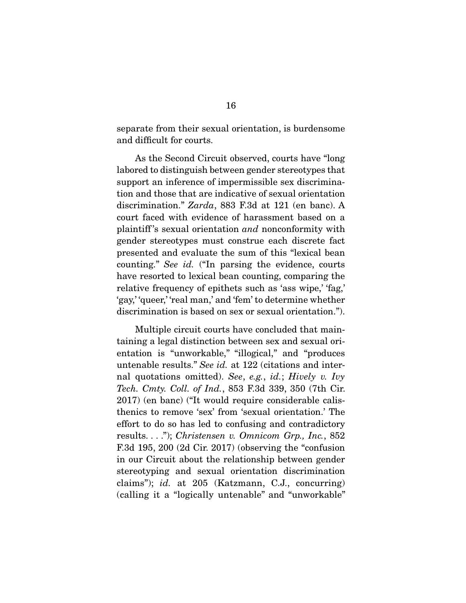separate from their sexual orientation, is burdensome and difficult for courts.

 As the Second Circuit observed, courts have "long labored to distinguish between gender stereotypes that support an inference of impermissible sex discrimination and those that are indicative of sexual orientation discrimination." *Zarda*, 883 F.3d at 121 (en banc). A court faced with evidence of harassment based on a plaintiff 's sexual orientation *and* nonconformity with gender stereotypes must construe each discrete fact presented and evaluate the sum of this "lexical bean counting." *See id.* ("In parsing the evidence, courts have resorted to lexical bean counting, comparing the relative frequency of epithets such as 'ass wipe,' 'fag,' 'gay,' 'queer,' 'real man,' and 'fem' to determine whether discrimination is based on sex or sexual orientation.").

 Multiple circuit courts have concluded that maintaining a legal distinction between sex and sexual orientation is "unworkable," "illogical," and "produces untenable results." *See id.* at 122 (citations and internal quotations omitted). *See*, *e.g.*, *id.*; *Hively v. Ivy Tech. Cmty. Coll. of Ind.*, 853 F.3d 339, 350 (7th Cir. 2017) (en banc) ("It would require considerable calisthenics to remove 'sex' from 'sexual orientation.' The effort to do so has led to confusing and contradictory results. . . ."); *Christensen v. Omnicom Grp., Inc.*, 852 F.3d 195, 200 (2d Cir. 2017) (observing the "confusion in our Circuit about the relationship between gender stereotyping and sexual orientation discrimination claims"); *id.* at 205 (Katzmann, C.J., concurring) (calling it a "logically untenable" and "unworkable"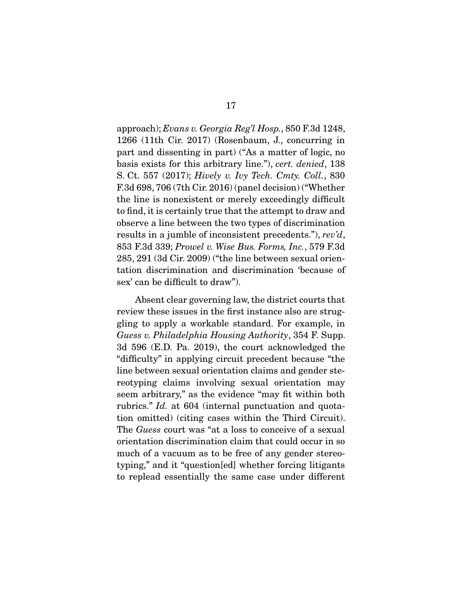approach); *Evans v. Georgia Reg'l Hosp.*, 850 F.3d 1248, 1266 (11th Cir. 2017) (Rosenbaum, J., concurring in part and dissenting in part) ("As a matter of logic, no basis exists for this arbitrary line."), *cert. denied*, 138 S. Ct. 557 (2017); *Hively v. Ivy Tech. Cmty. Coll.*, 830 F.3d 698, 706 (7th Cir. 2016) (panel decision) ("Whether the line is nonexistent or merely exceedingly difficult to find, it is certainly true that the attempt to draw and observe a line between the two types of discrimination results in a jumble of inconsistent precedents."), *rev'd*, 853 F.3d 339; *Prowel v. Wise Bus. Forms, Inc.*, 579 F.3d 285, 291 (3d Cir. 2009) ("the line between sexual orientation discrimination and discrimination 'because of sex' can be difficult to draw").

 Absent clear governing law, the district courts that review these issues in the first instance also are struggling to apply a workable standard. For example, in *Guess v. Philadelphia Housing Authority*, 354 F. Supp. 3d 596 (E.D. Pa. 2019), the court acknowledged the "difficulty" in applying circuit precedent because "the line between sexual orientation claims and gender stereotyping claims involving sexual orientation may seem arbitrary," as the evidence "may fit within both rubrics." *Id.* at 604 (internal punctuation and quotation omitted) (citing cases within the Third Circuit). The *Guess* court was "at a loss to conceive of a sexual orientation discrimination claim that could occur in so much of a vacuum as to be free of any gender stereotyping," and it "question[ed] whether forcing litigants to replead essentially the same case under different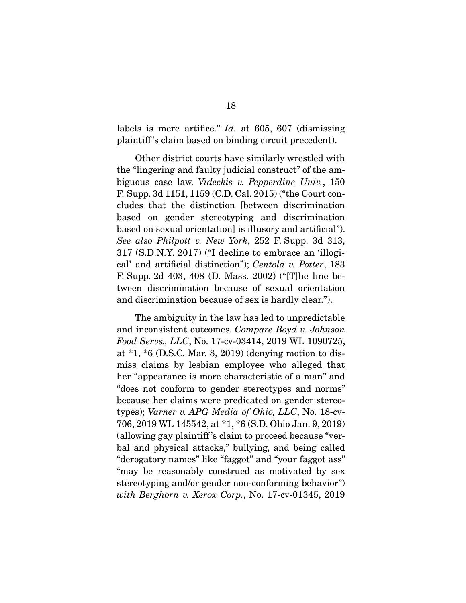labels is mere artifice." *Id.* at 605, 607 (dismissing plaintiff 's claim based on binding circuit precedent).

 Other district courts have similarly wrestled with the "lingering and faulty judicial construct" of the ambiguous case law. *Videckis v. Pepperdine Univ.*, 150 F. Supp. 3d 1151, 1159 (C.D. Cal. 2015) ("the Court concludes that the distinction [between discrimination based on gender stereotyping and discrimination based on sexual orientation] is illusory and artificial"). *See also Philpott v. New York*, 252 F. Supp. 3d 313, 317 (S.D.N.Y. 2017) ("I decline to embrace an 'illogical' and artificial distinction"); *Centola v. Potter*, 183 F. Supp. 2d 403, 408 (D. Mass. 2002) ("[T]he line between discrimination because of sexual orientation and discrimination because of sex is hardly clear.").

 The ambiguity in the law has led to unpredictable and inconsistent outcomes. *Compare Boyd v. Johnson Food Servs., LLC*, No. 17-cv-03414, 2019 WL 1090725, at \*1, \*6 (D.S.C. Mar. 8, 2019) (denying motion to dismiss claims by lesbian employee who alleged that her "appearance is more characteristic of a man" and "does not conform to gender stereotypes and norms" because her claims were predicated on gender stereotypes); *Varner v. APG Media of Ohio, LLC*, No. 18-cv-706, 2019 WL 145542, at \*1, \*6 (S.D. Ohio Jan. 9, 2019) (allowing gay plaintiff 's claim to proceed because "verbal and physical attacks," bullying, and being called "derogatory names" like "faggot" and "your faggot ass" "may be reasonably construed as motivated by sex stereotyping and/or gender non-conforming behavior") *with Berghorn v. Xerox Corp.*, No. 17-cv-01345, 2019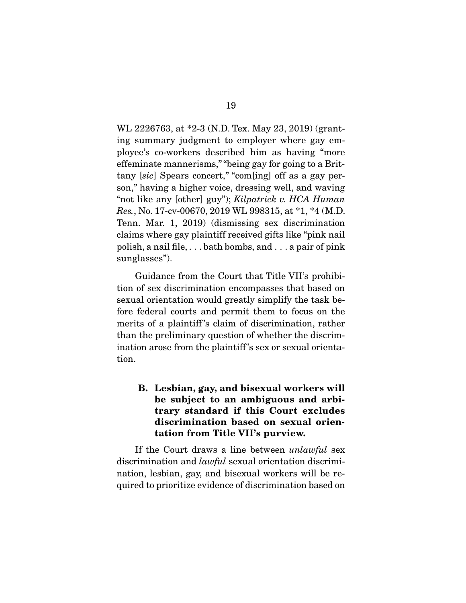WL 2226763, at \*2-3 (N.D. Tex. May 23, 2019) (granting summary judgment to employer where gay employee's co-workers described him as having "more effeminate mannerisms," "being gay for going to a Brittany [*sic*] Spears concert," "com[ing] off as a gay person," having a higher voice, dressing well, and waving "not like any [other] guy"); *Kilpatrick v. HCA Human Res.*, No. 17-cv-00670, 2019 WL 998315, at \*1, \*4 (M.D. Tenn. Mar. 1, 2019) (dismissing sex discrimination claims where gay plaintiff received gifts like "pink nail polish, a nail file, . . . bath bombs, and . . . a pair of pink sunglasses").

 Guidance from the Court that Title VII's prohibition of sex discrimination encompasses that based on sexual orientation would greatly simplify the task before federal courts and permit them to focus on the merits of a plaintiff 's claim of discrimination, rather than the preliminary question of whether the discrimination arose from the plaintiff 's sex or sexual orientation.

B. Lesbian, gay, and bisexual workers will be subject to an ambiguous and arbitrary standard if this Court excludes discrimination based on sexual orientation from Title VII's purview.

 If the Court draws a line between *unlawful* sex discrimination and *lawful* sexual orientation discrimination, lesbian, gay, and bisexual workers will be required to prioritize evidence of discrimination based on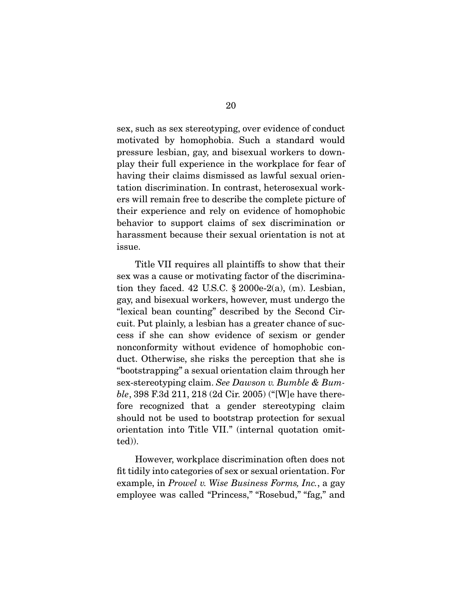sex, such as sex stereotyping, over evidence of conduct motivated by homophobia. Such a standard would pressure lesbian, gay, and bisexual workers to downplay their full experience in the workplace for fear of having their claims dismissed as lawful sexual orientation discrimination. In contrast, heterosexual workers will remain free to describe the complete picture of their experience and rely on evidence of homophobic behavior to support claims of sex discrimination or harassment because their sexual orientation is not at issue.

 Title VII requires all plaintiffs to show that their sex was a cause or motivating factor of the discrimination they faced. 42 U.S.C.  $\S$  2000e-2(a), (m). Lesbian, gay, and bisexual workers, however, must undergo the "lexical bean counting" described by the Second Circuit. Put plainly, a lesbian has a greater chance of success if she can show evidence of sexism or gender nonconformity without evidence of homophobic conduct. Otherwise, she risks the perception that she is "bootstrapping" a sexual orientation claim through her sex-stereotyping claim. *See Dawson v. Bumble & Bumble*, 398 F.3d 211, 218 (2d Cir. 2005) ("[W]e have therefore recognized that a gender stereotyping claim should not be used to bootstrap protection for sexual orientation into Title VII." (internal quotation omitted)).

 However, workplace discrimination often does not fit tidily into categories of sex or sexual orientation. For example, in *Prowel v. Wise Business Forms, Inc.*, a gay employee was called "Princess," "Rosebud," "fag," and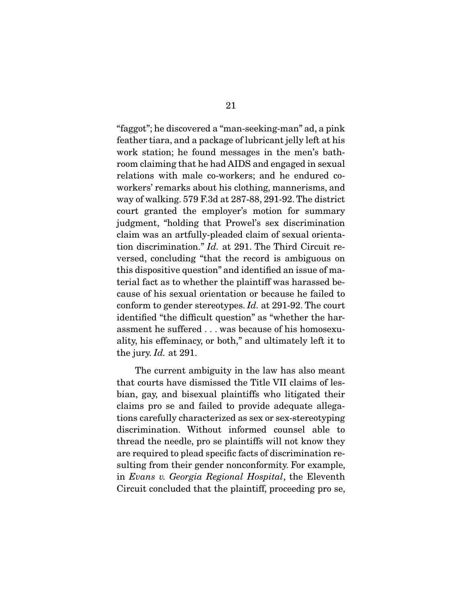"faggot"; he discovered a "man-seeking-man" ad, a pink feather tiara, and a package of lubricant jelly left at his work station; he found messages in the men's bathroom claiming that he had AIDS and engaged in sexual relations with male co-workers; and he endured coworkers' remarks about his clothing, mannerisms, and way of walking. 579 F.3d at 287-88, 291-92. The district court granted the employer's motion for summary judgment, "holding that Prowel's sex discrimination claim was an artfully-pleaded claim of sexual orientation discrimination." *Id.* at 291. The Third Circuit reversed, concluding "that the record is ambiguous on this dispositive question" and identified an issue of material fact as to whether the plaintiff was harassed because of his sexual orientation or because he failed to conform to gender stereotypes. *Id.* at 291-92. The court identified "the difficult question" as "whether the harassment he suffered . . . was because of his homosexuality, his effeminacy, or both," and ultimately left it to the jury. *Id.* at 291.

 The current ambiguity in the law has also meant that courts have dismissed the Title VII claims of lesbian, gay, and bisexual plaintiffs who litigated their claims pro se and failed to provide adequate allegations carefully characterized as sex or sex-stereotyping discrimination. Without informed counsel able to thread the needle, pro se plaintiffs will not know they are required to plead specific facts of discrimination resulting from their gender nonconformity. For example, in *Evans v. Georgia Regional Hospital*, the Eleventh Circuit concluded that the plaintiff, proceeding pro se,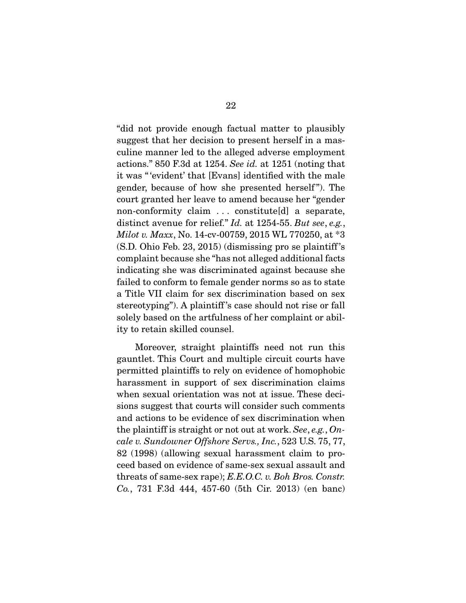"did not provide enough factual matter to plausibly suggest that her decision to present herself in a masculine manner led to the alleged adverse employment actions." 850 F.3d at 1254. *See id.* at 1251 (noting that it was " 'evident' that [Evans] identified with the male gender, because of how she presented herself". The court granted her leave to amend because her "gender non-conformity claim . . . constitute[d] a separate, distinct avenue for relief." *Id.* at 1254-55. *But see*, *e.g.*, *Milot v. Maxx*, No. 14-cv-00759, 2015 WL 770250, at \*3 (S.D. Ohio Feb. 23, 2015) (dismissing pro se plaintiff 's complaint because she "has not alleged additional facts indicating she was discriminated against because she failed to conform to female gender norms so as to state a Title VII claim for sex discrimination based on sex stereotyping"). A plaintiff 's case should not rise or fall solely based on the artfulness of her complaint or ability to retain skilled counsel.

 Moreover, straight plaintiffs need not run this gauntlet. This Court and multiple circuit courts have permitted plaintiffs to rely on evidence of homophobic harassment in support of sex discrimination claims when sexual orientation was not at issue. These decisions suggest that courts will consider such comments and actions to be evidence of sex discrimination when the plaintiff is straight or not out at work. *See*, *e.g.*, *Oncale v. Sundowner Offshore Servs., Inc.*, 523 U.S. 75, 77, 82 (1998) (allowing sexual harassment claim to proceed based on evidence of same-sex sexual assault and threats of same-sex rape); *E.E.O.C. v. Boh Bros. Constr. Co.*, 731 F.3d 444, 457-60 (5th Cir. 2013) (en banc)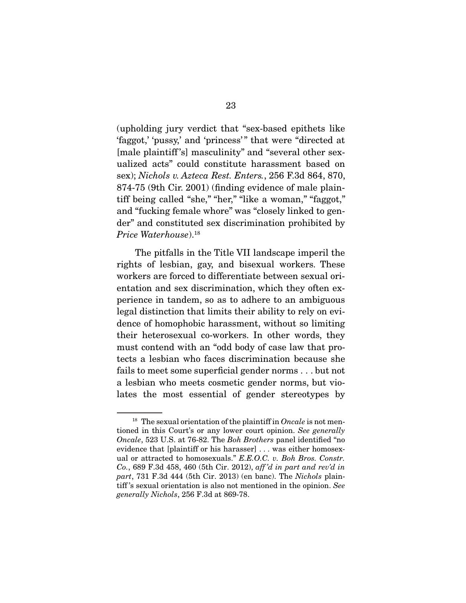(upholding jury verdict that "sex-based epithets like 'faggot,' 'pussy,' and 'princess'" that were "directed at [male plaintiff 's] masculinity" and "several other sexualized acts" could constitute harassment based on sex); *Nichols v. Azteca Rest. Enters.*, 256 F.3d 864, 870, 874-75 (9th Cir. 2001) (finding evidence of male plaintiff being called "she," "her," "like a woman," "faggot," and "fucking female whore" was "closely linked to gender" and constituted sex discrimination prohibited by *Price Waterhouse*).18

 The pitfalls in the Title VII landscape imperil the rights of lesbian, gay, and bisexual workers. These workers are forced to differentiate between sexual orientation and sex discrimination, which they often experience in tandem, so as to adhere to an ambiguous legal distinction that limits their ability to rely on evidence of homophobic harassment, without so limiting their heterosexual co-workers. In other words, they must contend with an "odd body of case law that protects a lesbian who faces discrimination because she fails to meet some superficial gender norms . . . but not a lesbian who meets cosmetic gender norms, but violates the most essential of gender stereotypes by

<sup>&</sup>lt;sup>18</sup> The sexual orientation of the plaintiff in *Oncale* is not mentioned in this Court's or any lower court opinion. *See generally Oncale*, 523 U.S. at 76-82. The *Boh Brothers* panel identified "no evidence that [plaintiff or his harasser] . . . was either homosexual or attracted to homosexuals." *E.E.O.C. v. Boh Bros. Constr. Co.*, 689 F.3d 458, 460 (5th Cir. 2012), *aff 'd in part and rev'd in part*, 731 F.3d 444 (5th Cir. 2013) (en banc). The *Nichols* plaintiff 's sexual orientation is also not mentioned in the opinion. *See generally Nichols*, 256 F.3d at 869-78.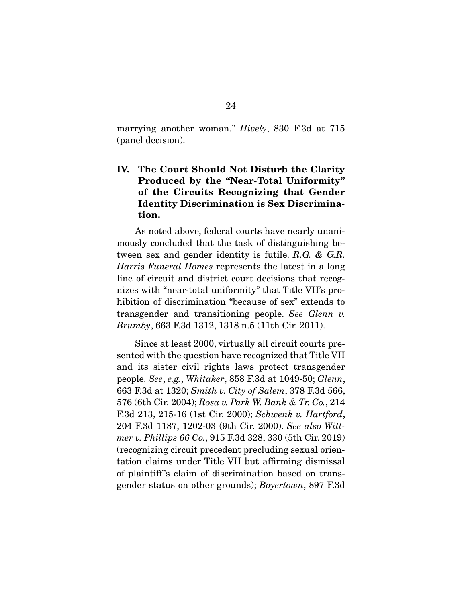marrying another woman." *Hively*, 830 F.3d at 715 (panel decision).

### IV. The Court Should Not Disturb the Clarity Produced by the "Near-Total Uniformity" of the Circuits Recognizing that Gender Identity Discrimination is Sex Discrimination.

 As noted above, federal courts have nearly unanimously concluded that the task of distinguishing between sex and gender identity is futile. *R.G. & G.R. Harris Funeral Homes* represents the latest in a long line of circuit and district court decisions that recognizes with "near-total uniformity" that Title VII's prohibition of discrimination "because of sex" extends to transgender and transitioning people. *See Glenn v. Brumby*, 663 F.3d 1312, 1318 n.5 (11th Cir. 2011).

 Since at least 2000, virtually all circuit courts presented with the question have recognized that Title VII and its sister civil rights laws protect transgender people. *See*, *e.g.*, *Whitaker*, 858 F.3d at 1049-50; *Glenn*, 663 F.3d at 1320; *Smith v. City of Salem*, 378 F.3d 566, 576 (6th Cir. 2004); *Rosa v. Park W. Bank & Tr. Co.*, 214 F.3d 213, 215-16 (1st Cir. 2000); *Schwenk v. Hartford*, 204 F.3d 1187, 1202-03 (9th Cir. 2000). *See also Wittmer v. Phillips 66 Co.*, 915 F.3d 328, 330 (5th Cir. 2019) (recognizing circuit precedent precluding sexual orientation claims under Title VII but affirming dismissal of plaintiff 's claim of discrimination based on transgender status on other grounds); *Boyertown*, 897 F.3d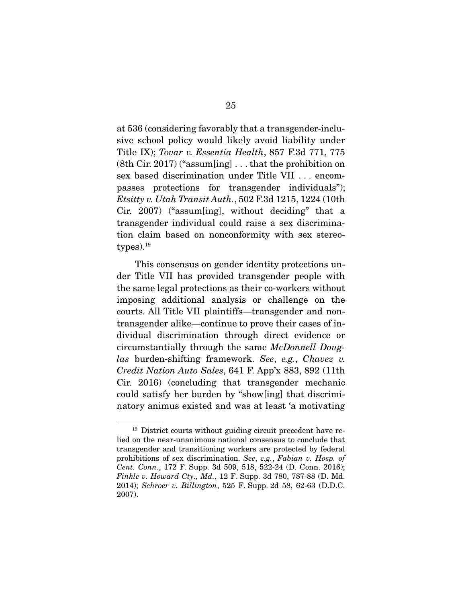at 536 (considering favorably that a transgender-inclusive school policy would likely avoid liability under Title IX); *Tovar v. Essentia Health*, 857 F.3d 771, 775 (8th Cir. 2017) ("assum[ing] . . . that the prohibition on sex based discrimination under Title VII . . . encompasses protections for transgender individuals"); *Etsitty v. Utah Transit Auth.*, 502 F.3d 1215, 1224 (10th Cir. 2007) ("assum[ing], without deciding" that a transgender individual could raise a sex discrimination claim based on nonconformity with sex stereo $types$ ).<sup>19</sup>

 This consensus on gender identity protections under Title VII has provided transgender people with the same legal protections as their co-workers without imposing additional analysis or challenge on the courts. All Title VII plaintiffs—transgender and nontransgender alike—continue to prove their cases of individual discrimination through direct evidence or circumstantially through the same *McDonnell Douglas* burden-shifting framework. *See*, *e.g.*, *Chavez v. Credit Nation Auto Sales*, 641 F. App'x 883, 892 (11th Cir. 2016) (concluding that transgender mechanic could satisfy her burden by "show[ing] that discriminatory animus existed and was at least 'a motivating

<sup>19</sup> District courts without guiding circuit precedent have relied on the near-unanimous national consensus to conclude that transgender and transitioning workers are protected by federal prohibitions of sex discrimination. *See*, *e.g.*, *Fabian v. Hosp. of Cent. Conn.*, 172 F. Supp. 3d 509, 518, 522-24 (D. Conn. 2016); *Finkle v. Howard Cty., Md.*, 12 F. Supp. 3d 780, 787-88 (D. Md. 2014); *Schroer v. Billington*, 525 F. Supp. 2d 58, 62-63 (D.D.C. 2007).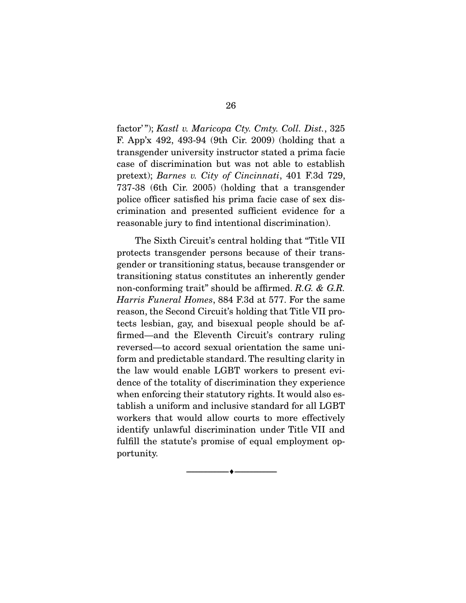factor' "); *Kastl v. Maricopa Cty. Cmty. Coll. Dist.*, 325 F. App'x 492, 493-94 (9th Cir. 2009) (holding that a transgender university instructor stated a prima facie case of discrimination but was not able to establish pretext); *Barnes v. City of Cincinnati*, 401 F.3d 729, 737-38 (6th Cir. 2005) (holding that a transgender police officer satisfied his prima facie case of sex discrimination and presented sufficient evidence for a reasonable jury to find intentional discrimination).

 The Sixth Circuit's central holding that "Title VII protects transgender persons because of their transgender or transitioning status, because transgender or transitioning status constitutes an inherently gender non-conforming trait" should be affirmed. *R.G. & G.R. Harris Funeral Homes*, 884 F.3d at 577. For the same reason, the Second Circuit's holding that Title VII protects lesbian, gay, and bisexual people should be affirmed—and the Eleventh Circuit's contrary ruling reversed—to accord sexual orientation the same uniform and predictable standard. The resulting clarity in the law would enable LGBT workers to present evidence of the totality of discrimination they experience when enforcing their statutory rights. It would also establish a uniform and inclusive standard for all LGBT workers that would allow courts to more effectively identify unlawful discrimination under Title VII and fulfill the statute's promise of equal employment opportunity.

--------------------------------- ---------------------------------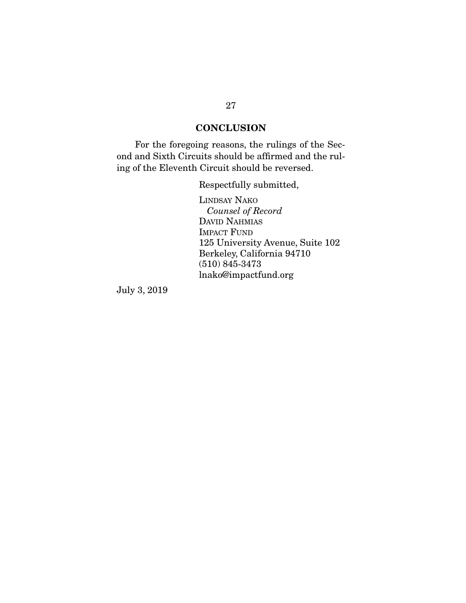### **CONCLUSION**

 For the foregoing reasons, the rulings of the Second and Sixth Circuits should be affirmed and the ruling of the Eleventh Circuit should be reversed.

Respectfully submitted,

LINDSAY NAKO *Counsel of Record* DAVID NAHMIAS IMPACT FUND 125 University Avenue, Suite 102 Berkeley, California 94710 (510) 845-3473 lnako@impactfund.org

July 3, 2019

#### 27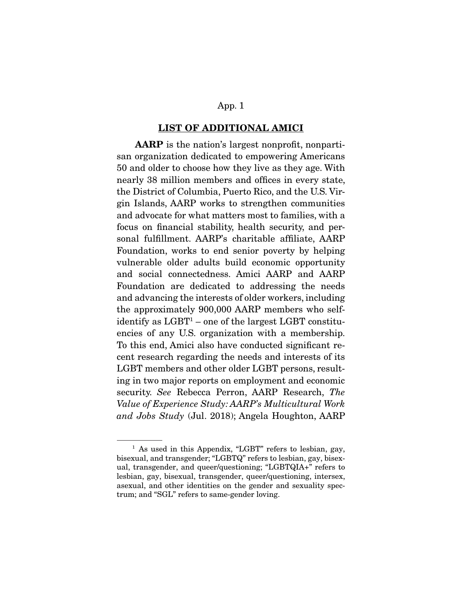#### LIST OF ADDITIONAL AMICI

AARP is the nation's largest nonprofit, nonpartisan organization dedicated to empowering Americans 50 and older to choose how they live as they age. With nearly 38 million members and offices in every state, the District of Columbia, Puerto Rico, and the U.S. Virgin Islands, AARP works to strengthen communities and advocate for what matters most to families, with a focus on financial stability, health security, and personal fulfillment. AARP's charitable affiliate, AARP Foundation, works to end senior poverty by helping vulnerable older adults build economic opportunity and social connectedness. Amici AARP and AARP Foundation are dedicated to addressing the needs and advancing the interests of older workers, including the approximately 900,000 AARP members who selfidentify as  ${\rm LGBT^1}$  – one of the largest  ${\rm LGBT}$  constituencies of any U.S. organization with a membership. To this end, Amici also have conducted significant recent research regarding the needs and interests of its LGBT members and other older LGBT persons, resulting in two major reports on employment and economic security. *See* Rebecca Perron, AARP Research, *The Value of Experience Study: AARP's Multicultural Work and Jobs Study* (Jul. 2018); Angela Houghton, AARP

<sup>&</sup>lt;sup>1</sup> As used in this Appendix, "LGBT" refers to lesbian, gay, bisexual, and transgender; "LGBTQ" refers to lesbian, gay, bisexual, transgender, and queer/questioning; "LGBTQIA+" refers to lesbian, gay, bisexual, transgender, queer/questioning, intersex, asexual, and other identities on the gender and sexuality spectrum; and "SGL" refers to same-gender loving.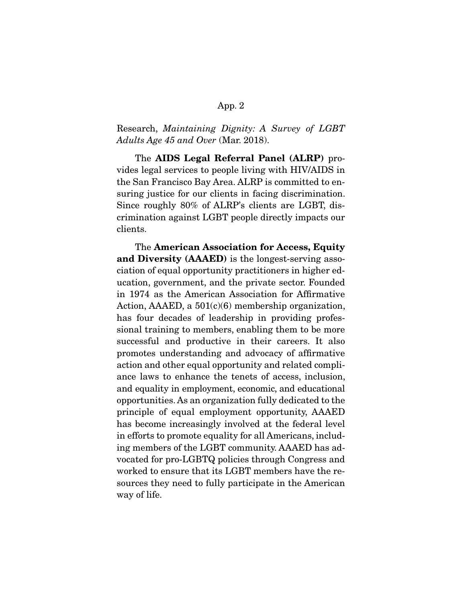Research, *Maintaining Dignity: A Survey of LGBT Adults Age 45 and Over* (Mar. 2018).

 The AIDS Legal Referral Panel (ALRP) provides legal services to people living with HIV/AIDS in the San Francisco Bay Area. ALRP is committed to ensuring justice for our clients in facing discrimination. Since roughly 80% of ALRP's clients are LGBT, discrimination against LGBT people directly impacts our clients.

 The American Association for Access, Equity and Diversity (AAAED) is the longest-serving association of equal opportunity practitioners in higher education, government, and the private sector. Founded in 1974 as the American Association for Affirmative Action, AAAED, a  $501(c)(6)$  membership organization, has four decades of leadership in providing professional training to members, enabling them to be more successful and productive in their careers. It also promotes understanding and advocacy of affirmative action and other equal opportunity and related compliance laws to enhance the tenets of access, inclusion, and equality in employment, economic, and educational opportunities. As an organization fully dedicated to the principle of equal employment opportunity, AAAED has become increasingly involved at the federal level in efforts to promote equality for all Americans, including members of the LGBT community. AAAED has advocated for pro-LGBTQ policies through Congress and worked to ensure that its LGBT members have the resources they need to fully participate in the American way of life.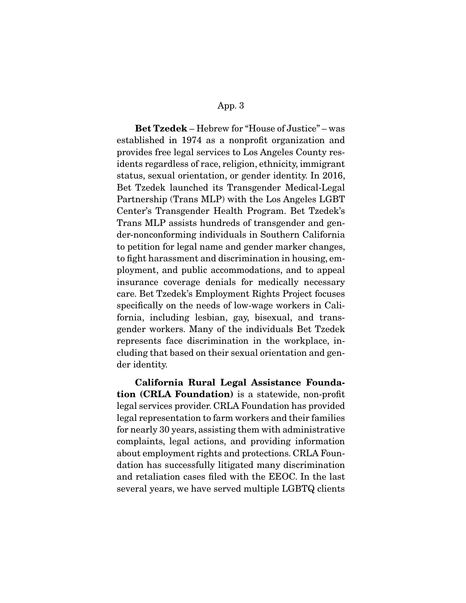Bet Tzedek – Hebrew for "House of Justice" – was established in 1974 as a nonprofit organization and provides free legal services to Los Angeles County residents regardless of race, religion, ethnicity, immigrant status, sexual orientation, or gender identity. In 2016, Bet Tzedek launched its Transgender Medical-Legal Partnership (Trans MLP) with the Los Angeles LGBT Center's Transgender Health Program. Bet Tzedek's Trans MLP assists hundreds of transgender and gender-nonconforming individuals in Southern California to petition for legal name and gender marker changes, to fight harassment and discrimination in housing, employment, and public accommodations, and to appeal insurance coverage denials for medically necessary care. Bet Tzedek's Employment Rights Project focuses specifically on the needs of low-wage workers in California, including lesbian, gay, bisexual, and transgender workers. Many of the individuals Bet Tzedek represents face discrimination in the workplace, including that based on their sexual orientation and gender identity.

California Rural Legal Assistance Foundation (CRLA Foundation) is a statewide, non-profit legal services provider. CRLA Foundation has provided legal representation to farm workers and their families for nearly 30 years, assisting them with administrative complaints, legal actions, and providing information about employment rights and protections. CRLA Foundation has successfully litigated many discrimination and retaliation cases filed with the EEOC. In the last several years, we have served multiple LGBTQ clients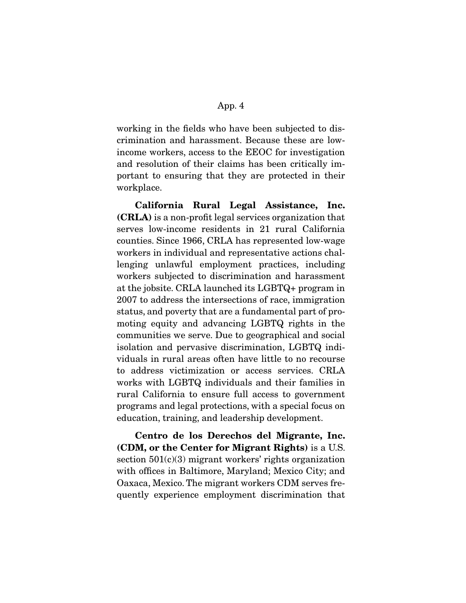working in the fields who have been subjected to discrimination and harassment. Because these are lowincome workers, access to the EEOC for investigation and resolution of their claims has been critically important to ensuring that they are protected in their workplace.

California Rural Legal Assistance, Inc. (CRLA) is a non-profit legal services organization that serves low-income residents in 21 rural California counties. Since 1966, CRLA has represented low-wage workers in individual and representative actions challenging unlawful employment practices, including workers subjected to discrimination and harassment at the jobsite. CRLA launched its LGBTQ+ program in 2007 to address the intersections of race, immigration status, and poverty that are a fundamental part of promoting equity and advancing LGBTQ rights in the communities we serve. Due to geographical and social isolation and pervasive discrimination, LGBTQ individuals in rural areas often have little to no recourse to address victimization or access services. CRLA works with LGBTQ individuals and their families in rural California to ensure full access to government programs and legal protections, with a special focus on education, training, and leadership development.

Centro de los Derechos del Migrante, Inc. (CDM, or the Center for Migrant Rights) is a U.S. section  $501(c)(3)$  migrant workers' rights organization with offices in Baltimore, Maryland; Mexico City; and Oaxaca, Mexico. The migrant workers CDM serves frequently experience employment discrimination that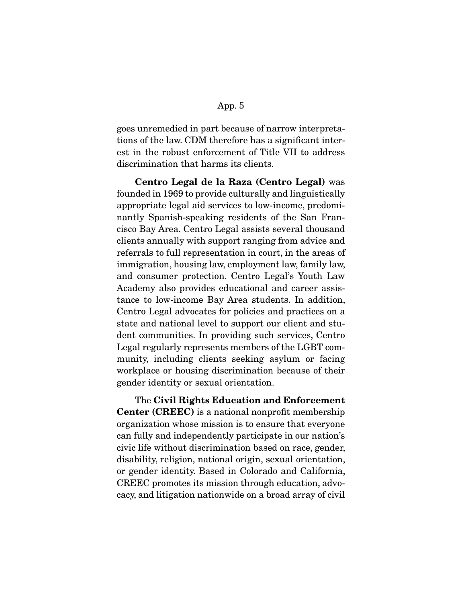goes unremedied in part because of narrow interpretations of the law. CDM therefore has a significant interest in the robust enforcement of Title VII to address discrimination that harms its clients.

Centro Legal de la Raza (Centro Legal) was founded in 1969 to provide culturally and linguistically appropriate legal aid services to low-income, predominantly Spanish-speaking residents of the San Francisco Bay Area. Centro Legal assists several thousand clients annually with support ranging from advice and referrals to full representation in court, in the areas of immigration, housing law, employment law, family law, and consumer protection. Centro Legal's Youth Law Academy also provides educational and career assistance to low-income Bay Area students. In addition, Centro Legal advocates for policies and practices on a state and national level to support our client and student communities. In providing such services, Centro Legal regularly represents members of the LGBT community, including clients seeking asylum or facing workplace or housing discrimination because of their gender identity or sexual orientation.

 The Civil Rights Education and Enforcement Center (CREEC) is a national nonprofit membership organization whose mission is to ensure that everyone can fully and independently participate in our nation's civic life without discrimination based on race, gender, disability, religion, national origin, sexual orientation, or gender identity. Based in Colorado and California, CREEC promotes its mission through education, advocacy, and litigation nationwide on a broad array of civil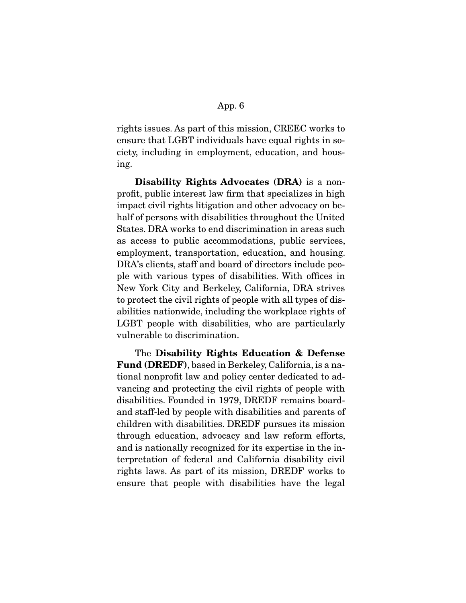rights issues. As part of this mission, CREEC works to ensure that LGBT individuals have equal rights in society, including in employment, education, and housing.

Disability Rights Advocates (DRA) is a nonprofit, public interest law firm that specializes in high impact civil rights litigation and other advocacy on behalf of persons with disabilities throughout the United States. DRA works to end discrimination in areas such as access to public accommodations, public services, employment, transportation, education, and housing. DRA's clients, staff and board of directors include people with various types of disabilities. With offices in New York City and Berkeley, California, DRA strives to protect the civil rights of people with all types of disabilities nationwide, including the workplace rights of LGBT people with disabilities, who are particularly vulnerable to discrimination.

 The Disability Rights Education & Defense Fund (DREDF), based in Berkeley, California, is a national nonprofit law and policy center dedicated to advancing and protecting the civil rights of people with disabilities. Founded in 1979, DREDF remains boardand staff-led by people with disabilities and parents of children with disabilities. DREDF pursues its mission through education, advocacy and law reform efforts, and is nationally recognized for its expertise in the interpretation of federal and California disability civil rights laws. As part of its mission, DREDF works to ensure that people with disabilities have the legal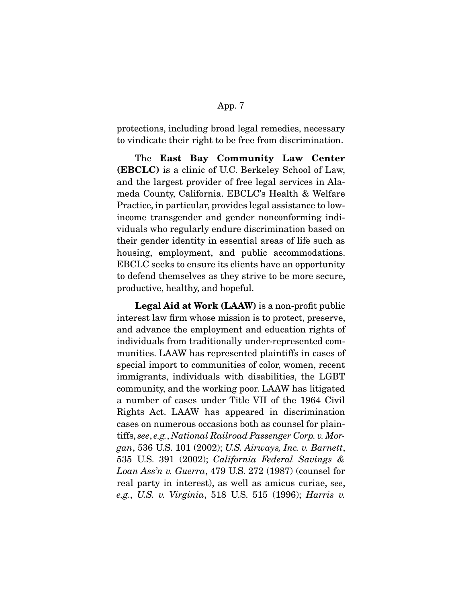protections, including broad legal remedies, necessary to vindicate their right to be free from discrimination.

 The East Bay Community Law Center (EBCLC) is a clinic of U.C. Berkeley School of Law, and the largest provider of free legal services in Alameda County, California. EBCLC's Health & Welfare Practice, in particular, provides legal assistance to lowincome transgender and gender nonconforming individuals who regularly endure discrimination based on their gender identity in essential areas of life such as housing, employment, and public accommodations. EBCLC seeks to ensure its clients have an opportunity to defend themselves as they strive to be more secure, productive, healthy, and hopeful.

Legal Aid at Work (LAAW) is a non-profit public interest law firm whose mission is to protect, preserve, and advance the employment and education rights of individuals from traditionally under-represented communities. LAAW has represented plaintiffs in cases of special import to communities of color, women, recent immigrants, individuals with disabilities, the LGBT community, and the working poor. LAAW has litigated a number of cases under Title VII of the 1964 Civil Rights Act. LAAW has appeared in discrimination cases on numerous occasions both as counsel for plaintiffs, *see*, *e.g.*, *National Railroad Passenger Corp. v. Morgan*, 536 U.S. 101 (2002); *U.S. Airways, Inc. v. Barnett*, 535 U.S. 391 (2002); *California Federal Savings & Loan Ass'n v. Guerra*, 479 U.S. 272 (1987) (counsel for real party in interest), as well as amicus curiae, *see*, *e.g.*, *U.S. v. Virginia*, 518 U.S. 515 (1996); *Harris v.*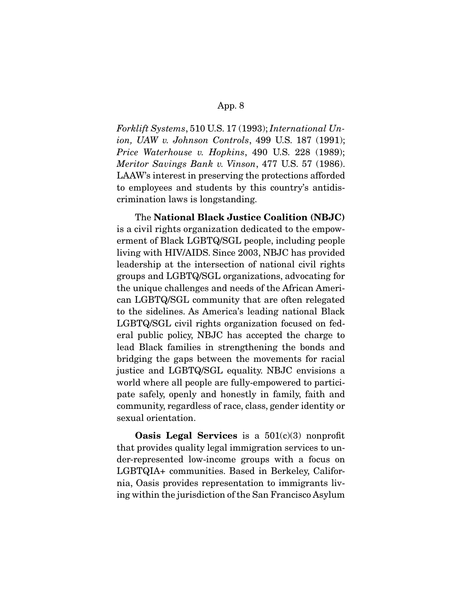*Forklift Systems*, 510 U.S. 17 (1993); *International Union, UAW v. Johnson Controls*, 499 U.S. 187 (1991); *Price Waterhouse v. Hopkins*, 490 U.S. 228 (1989); *Meritor Savings Bank v. Vinson*, 477 U.S. 57 (1986). LAAW's interest in preserving the protections afforded to employees and students by this country's antidiscrimination laws is longstanding.

 The National Black Justice Coalition (NBJC) is a civil rights organization dedicated to the empowerment of Black LGBTQ/SGL people, including people living with HIV/AIDS. Since 2003, NBJC has provided leadership at the intersection of national civil rights groups and LGBTQ/SGL organizations, advocating for the unique challenges and needs of the African American LGBTQ/SGL community that are often relegated to the sidelines. As America's leading national Black LGBTQ/SGL civil rights organization focused on federal public policy, NBJC has accepted the charge to lead Black families in strengthening the bonds and bridging the gaps between the movements for racial justice and LGBTQ/SGL equality. NBJC envisions a world where all people are fully-empowered to participate safely, openly and honestly in family, faith and community, regardless of race, class, gender identity or sexual orientation.

**Oasis Legal Services** is a  $501(c)(3)$  nonprofit that provides quality legal immigration services to under-represented low-income groups with a focus on LGBTQIA+ communities. Based in Berkeley, California, Oasis provides representation to immigrants living within the jurisdiction of the San Francisco Asylum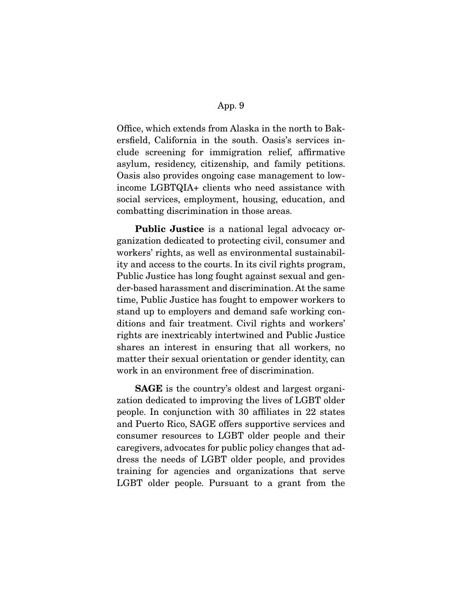Office, which extends from Alaska in the north to Bakersfield, California in the south. Oasis's services include screening for immigration relief, affirmative asylum, residency, citizenship, and family petitions. Oasis also provides ongoing case management to lowincome LGBTQIA+ clients who need assistance with social services, employment, housing, education, and combatting discrimination in those areas.

Public Justice is a national legal advocacy organization dedicated to protecting civil, consumer and workers' rights, as well as environmental sustainability and access to the courts. In its civil rights program, Public Justice has long fought against sexual and gender-based harassment and discrimination. At the same time, Public Justice has fought to empower workers to stand up to employers and demand safe working conditions and fair treatment. Civil rights and workers' rights are inextricably intertwined and Public Justice shares an interest in ensuring that all workers, no matter their sexual orientation or gender identity, can work in an environment free of discrimination.

SAGE is the country's oldest and largest organization dedicated to improving the lives of LGBT older people. In conjunction with 30 affiliates in 22 states and Puerto Rico, SAGE offers supportive services and consumer resources to LGBT older people and their caregivers, advocates for public policy changes that address the needs of LGBT older people, and provides training for agencies and organizations that serve LGBT older people. Pursuant to a grant from the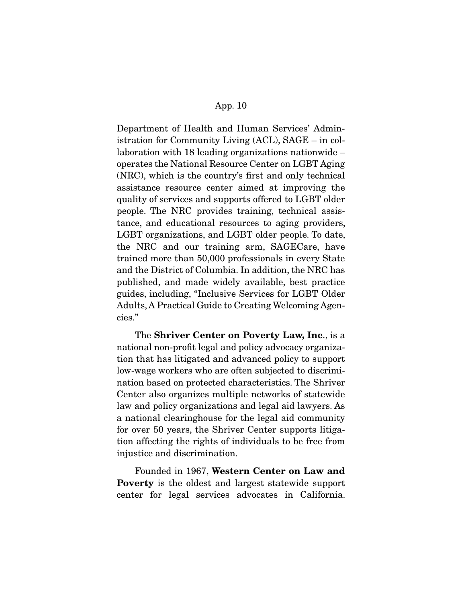Department of Health and Human Services' Administration for Community Living (ACL), SAGE – in collaboration with 18 leading organizations nationwide – operates the National Resource Center on LGBT Aging (NRC), which is the country's first and only technical assistance resource center aimed at improving the quality of services and supports offered to LGBT older people. The NRC provides training, technical assistance, and educational resources to aging providers, LGBT organizations, and LGBT older people. To date, the NRC and our training arm, SAGECare, have trained more than 50,000 professionals in every State and the District of Columbia. In addition, the NRC has published, and made widely available, best practice guides, including, "Inclusive Services for LGBT Older Adults, A Practical Guide to Creating Welcoming Agencies."

 The Shriver Center on Poverty Law, Inc., is a national non-profit legal and policy advocacy organization that has litigated and advanced policy to support low-wage workers who are often subjected to discrimination based on protected characteristics. The Shriver Center also organizes multiple networks of statewide law and policy organizations and legal aid lawyers. As a national clearinghouse for the legal aid community for over 50 years, the Shriver Center supports litigation affecting the rights of individuals to be free from injustice and discrimination.

 Founded in 1967, Western Center on Law and Poverty is the oldest and largest statewide support center for legal services advocates in California.